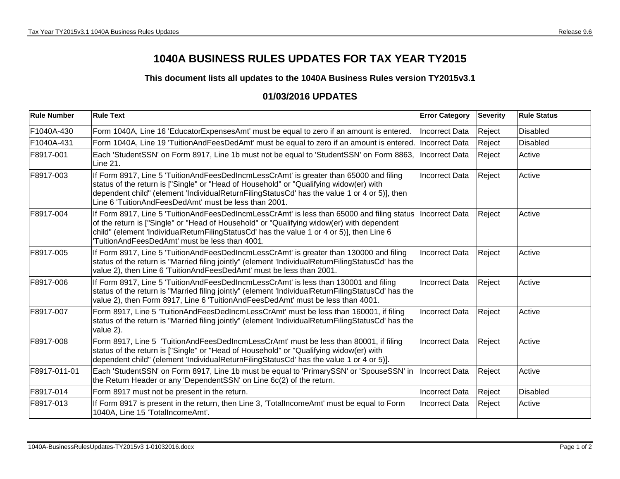## **1040A BUSINESS RULES UPDATES FOR TAX YEAR TY2015**

## **This document lists all updates to the 1040A Business Rules version TY2015v3.1**

## **01/03/2016 UPDATES**

| <b>Rule Number</b> | <b>Rule Text</b>                                                                                                                                                                                                                                                                                                                          | <b>Error Category</b> | <b>Severity</b> | <b>Rule Status</b> |
|--------------------|-------------------------------------------------------------------------------------------------------------------------------------------------------------------------------------------------------------------------------------------------------------------------------------------------------------------------------------------|-----------------------|-----------------|--------------------|
| F1040A-430         | Form 1040A, Line 16 'EducatorExpensesAmt' must be equal to zero if an amount is entered.                                                                                                                                                                                                                                                  | <b>Incorrect Data</b> | Reject          | <b>Disabled</b>    |
| F1040A-431         | Form 1040A, Line 19 'TuitionAndFeesDedAmt' must be equal to zero if an amount is entered.                                                                                                                                                                                                                                                 | Incorrect Data        | Reject          | <b>Disabled</b>    |
| F8917-001          | Each 'StudentSSN' on Form 8917, Line 1b must not be equal to 'StudentSSN' on Form 8863,<br>Line 21.                                                                                                                                                                                                                                       | Incorrect Data        | Reject          | Active             |
| F8917-003          | If Form 8917, Line 5 'TuitionAndFeesDedIncmLessCrAmt' is greater than 65000 and filing<br>status of the return is ["Single" or "Head of Household" or "Qualifying widow(er) with<br>dependent child" (element 'IndividualReturnFilingStatusCd' has the value 1 or 4 or 5)], then<br>Line 6 'TuitionAndFeesDedAmt' must be less than 2001. | <b>Incorrect Data</b> | Reject          | Active             |
| F8917-004          | If Form 8917, Line 5 'TuitionAndFeesDedIncmLessCrAmt' is less than 65000 and filing status<br>of the return is ["Single" or "Head of Household" or "Qualifying widow(er) with dependent<br>child" (element 'IndividualReturnFilingStatusCd' has the value 1 or 4 or 5)], then Line 6<br>TuitionAndFeesDedAmt' must be less than 4001.     | Incorrect Data        | Reject          | Active             |
| F8917-005          | If Form 8917, Line 5 'TuitionAndFeesDedIncmLessCrAmt' is greater than 130000 and filing<br>status of the return is "Married filing jointly" (element 'IndividualReturnFilingStatusCd' has the<br>value 2), then Line 6 'TuitionAndFeesDedAmt' must be less than 2001.                                                                     | Incorrect Data        | Reject          | Active             |
| F8917-006          | If Form 8917, Line 5 'TuitionAndFeesDedIncmLessCrAmt' is less than 130001 and filing<br>status of the return is "Married filing jointly" (element 'IndividualReturnFilingStatusCd' has the<br>value 2), then Form 8917, Line 6 'TuitionAndFeesDedAmt' must be less than 4001.                                                             | Incorrect Data        | Reject          | Active             |
| F8917-007          | Form 8917, Line 5 'TuitionAndFeesDedIncmLessCrAmt' must be less than 160001, if filing<br>status of the return is "Married filing jointly" (element 'IndividualReturnFilingStatusCd' has the<br>value 2).                                                                                                                                 | <b>Incorrect Data</b> | Reject          | Active             |
| F8917-008          | Form 8917, Line 5 'TuitionAndFeesDedIncmLessCrAmt' must be less than 80001, if filing<br>status of the return is ["Single" or "Head of Household" or "Qualifying widow(er) with<br>dependent child" (element 'IndividualReturnFilingStatusCd' has the value 1 or 4 or 5)].                                                                | <b>Incorrect Data</b> | Reject          | Active             |
| F8917-011-01       | Each 'StudentSSN' on Form 8917, Line 1b must be equal to 'PrimarySSN' or 'SpouseSSN' in<br>the Return Header or any 'DependentSSN' on Line 6c(2) of the return.                                                                                                                                                                           | Incorrect Data        | Reject          | Active             |
| F8917-014          | Form 8917 must not be present in the return.                                                                                                                                                                                                                                                                                              | <b>Incorrect Data</b> | Reject          | <b>Disabled</b>    |
| F8917-013          | If Form 8917 is present in the return, then Line 3, 'TotalIncomeAmt' must be equal to Form<br>1040A, Line 15 'TotalIncomeAmt'.                                                                                                                                                                                                            | Incorrect Data        | Reject          | Active             |